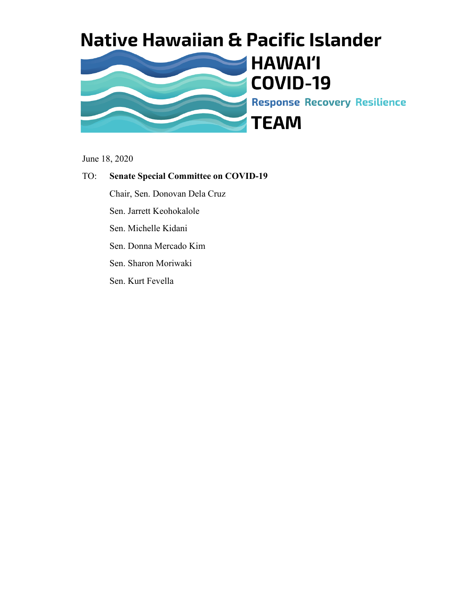

June 18, 2020

#### TO: **Senate Special Committee on COVID-19**

Chair, Sen. Donovan Dela Cruz

Sen. Jarrett Keohokalole

Sen. Michelle Kidani

Sen. Donna Mercado Kim

Sen. Sharon Moriwaki

Sen. Kurt Fevella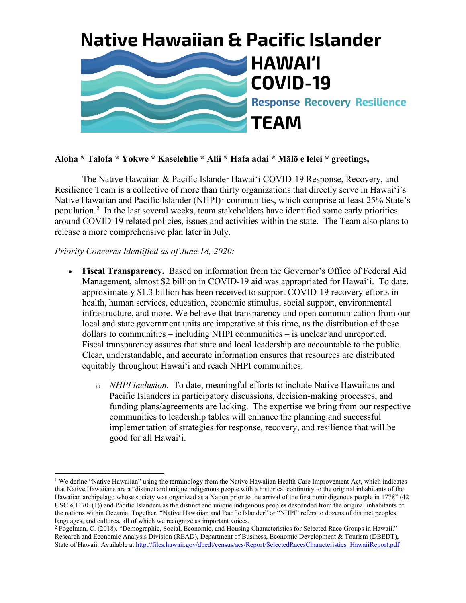

#### **Aloha \* Talofa \* Yokwe \* Kaselehlie \* Alii \* Hafa adai \* Mālō e lelei \* greetings,**

The Native Hawaiian & Pacific Islander Hawai'i COVID-19 Response, Recovery, and Resilience Team is a collective of more than thirty organizations that directly serve in Hawai'i's Native Hawaiian and Pacific Islander (NHPI)<sup>[1](#page-1-0)</sup> communities, which comprise at least  $25\%$  State's population.<sup>[2](#page-1-1)</sup> In the last several weeks, team stakeholders have identified some early priorities around COVID-19 related policies, issues and activities within the state. The Team also plans to release a more comprehensive plan later in July.

#### *Priority Concerns Identified as of June 18, 2020:*

- **Fiscal Transparency.** Based on information from the Governor's Office of Federal Aid Management, almost \$2 billion in COVID-19 aid was appropriated for Hawaiʻi. To date, approximately \$1.3 billion has been received to support COVID-19 recovery efforts in health, human services, education, economic stimulus, social support, environmental infrastructure, and more. We believe that transparency and open communication from our local and state government units are imperative at this time, as the distribution of these dollars to communities – including NHPI communities – is unclear and unreported. Fiscal transparency assures that state and local leadership are accountable to the public. Clear, understandable, and accurate information ensures that resources are distributed equitably throughout Hawai'i and reach NHPI communities.
	- o *NHPI inclusion.* To date, meaningful efforts to include Native Hawaiians and Pacific Islanders in participatory discussions, decision-making processes, and funding plans/agreements are lacking. The expertise we bring from our respective communities to leadership tables will enhance the planning and successful implementation of strategies for response, recovery, and resilience that will be good for all Hawai'i.

<span id="page-1-0"></span><sup>&</sup>lt;sup>1</sup> We define "Native Hawaiian" using the terminology from the Native Hawaiian Health Care Improvement Act, which indicates that Native Hawaiians are a "distinct and unique indigenous people with a historical continuity to the original inhabitants of the Hawaiian archipelago whose society was organized as a Nation prior to the arrival of the first nonindigenous people in 1778" (42 USC § 11701(1)) and Pacific Islanders as the distinct and unique indigenous peoples descended from the original inhabitants of the nations within Oceania. Together, "Native Hawaiian and Pacific Islander" or "NHPI" refers to dozens of distinct peoples, languages, and cultures, all of which we recognize as important voices.

<span id="page-1-1"></span><sup>2</sup> Fogelman, C. (2018). "Demographic, Social, Economic, and Housing Characteristics for Selected Race Groups in Hawaii." Research and Economic Analysis Division (READ), Department of Business, Economic Development & Tourism (DBEDT), State of Hawaii. Available a[t http://files.hawaii.gov/dbedt/census/acs/Report/SelectedRacesCharacteristics\\_HawaiiReport.pdf](http://files.hawaii.gov/dbedt/census/acs/Report/SelectedRacesCharacteristics_HawaiiReport.pdf)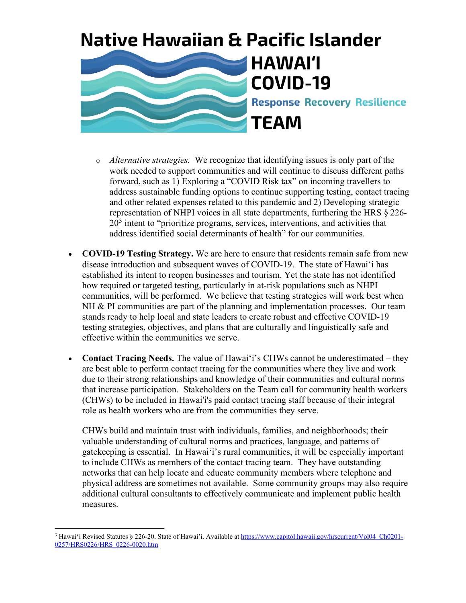

### **HAWAI'I COVID-19 Response Recovery Resilience TEAM**

- o *Alternative strategies.* We recognize that identifying issues is only part of the work needed to support communities and will continue to discuss different paths forward, such as 1) Exploring a "COVID Risk tax" on incoming travellers to address sustainable funding options to continue supporting testing, contact tracing and other related expenses related to this pandemic and 2) Developing strategic representation of NHPI voices in all state departments, furthering the HRS § 226-  $20<sup>3</sup>$  $20<sup>3</sup>$  $20<sup>3</sup>$  intent to "prioritize programs, services, interventions, and activities that address identified social determinants of health" for our communities.
- **COVID-19 Testing Strategy.** We are here to ensure that residents remain safe from new disease introduction and subsequent waves of COVID-19. The state of Hawai'i has established its intent to reopen businesses and tourism. Yet the state has not identified how required or targeted testing, particularly in at-risk populations such as NHPI communities, will be performed. We believe that testing strategies will work best when NH & PI communities are part of the planning and implementation processes. Our team stands ready to help local and state leaders to create robust and effective COVID-19 testing strategies, objectives, and plans that are culturally and linguistically safe and effective within the communities we serve.
- **Contact Tracing Needs.** The value of Hawai'i's CHWs cannot be underestimated they are best able to perform contact tracing for the communities where they live and work due to their strong relationships and knowledge of their communities and cultural norms that increase participation. Stakeholders on the Team call for community health workers (CHWs) to be included in Hawai'i's paid contact tracing staff because of their integral role as health workers who are from the communities they serve.

CHWs build and maintain trust with individuals, families, and neighborhoods; their valuable understanding of cultural norms and practices, language, and patterns of gatekeeping is essential. In Hawai'i's rural communities, it will be especially important to include CHWs as members of the contact tracing team. They have outstanding networks that can help locate and educate community members where telephone and physical address are sometimes not available. Some community groups may also require additional cultural consultants to effectively communicate and implement public health measures.

<span id="page-2-0"></span><sup>&</sup>lt;sup>3</sup> Hawai'i Revised Statutes § 226-20. State of Hawai'i. Available a[t https://www.capitol.hawaii.gov/hrscurrent/Vol04\\_Ch0201-](https://www.capitol.hawaii.gov/hrscurrent/Vol04_Ch0201-0257/HRS0226/HRS_0226-0020.htm) [0257/HRS0226/HRS\\_0226-0020.htm](https://www.capitol.hawaii.gov/hrscurrent/Vol04_Ch0201-0257/HRS0226/HRS_0226-0020.htm)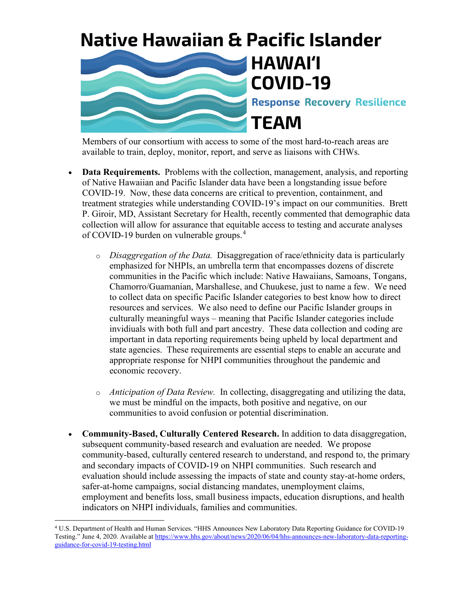

Members of our consortium with access to some of the most hard-to-reach areas are available to train, deploy, monitor, report, and serve as liaisons with CHWs.

- **Data Requirements.** Problems with the collection, management, analysis, and reporting of Native Hawaiian and Pacific Islander data have been a longstanding issue before COVID-19. Now, these data concerns are critical to prevention, containment, and treatment strategies while understanding COVID-19's impact on our communities. Brett P. Giroir, MD, Assistant Secretary for Health, recently commented that demographic data collection will allow for assurance that equitable access to testing and accurate analyses of COVID-19 burden on vulnerable groups.<sup>[4](#page-3-0)</sup>
	- o *Disaggregation of the Data.* Disaggregation of race/ethnicity data is particularly emphasized for NHPIs, an umbrella term that encompasses dozens of discrete communities in the Pacific which include: Native Hawaiians, Samoans, Tongans, Chamorro/Guamanian, Marshallese, and Chuukese, just to name a few. We need to collect data on specific Pacific Islander categories to best know how to direct resources and services. We also need to define our Pacific Islander groups in culturally meaningful ways – meaning that Pacific Islander categories include invidiuals with both full and part ancestry. These data collection and coding are important in data reporting requirements being upheld by local department and state agencies. These requirements are essential steps to enable an accurate and appropriate response for NHPI communities throughout the pandemic and economic recovery.
	- o *Anticipation of Data Review.* In collecting, disaggregating and utilizing the data, we must be mindful on the impacts, both positive and negative, on our communities to avoid confusion or potential discrimination.
- **Community-Based, Culturally Centered Research.** In addition to data disaggregation, subsequent community-based research and evaluation are needed. We propose community-based, culturally centered research to understand, and respond to, the primary and secondary impacts of COVID-19 on NHPI communities. Such research and evaluation should include assessing the impacts of state and county stay-at-home orders, safer-at-home campaigns, social distancing mandates, unemployment claims, employment and benefits loss, small business impacts, education disruptions, and health indicators on NHPI individuals, families and communities.

<span id="page-3-0"></span><sup>4</sup> U.S. Department of Health and Human Services. "HHS Announces New Laboratory Data Reporting Guidance for COVID-19 Testing." June 4, 2020. Available a[t https://www.hhs.gov/about/news/2020/06/04/hhs-announces-new-laboratory-data-reporting](https://www.hhs.gov/about/news/2020/06/04/hhs-announces-new-laboratory-data-reporting-guidance-for-covid-19-testing.html)[guidance-for-covid-19-testing.html](https://www.hhs.gov/about/news/2020/06/04/hhs-announces-new-laboratory-data-reporting-guidance-for-covid-19-testing.html)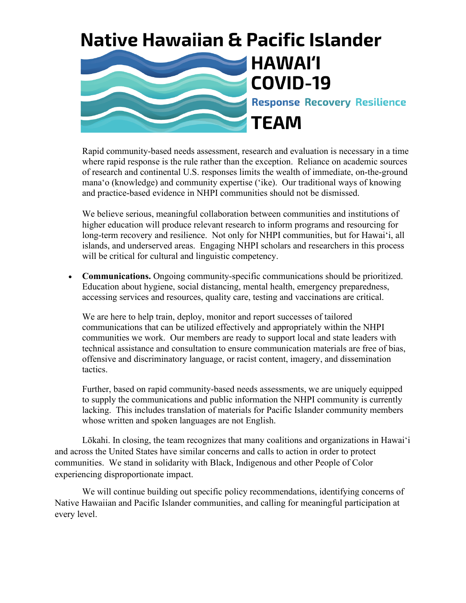

Rapid community-based needs assessment, research and evaluation is necessary in a time where rapid response is the rule rather than the exception. Reliance on academic sources of research and continental U.S. responses limits the wealth of immediate, on-the-ground mana'o (knowledge) and community expertise ('ike). Our traditional ways of knowing and practice-based evidence in NHPI communities should not be dismissed.

We believe serious, meaningful collaboration between communities and institutions of higher education will produce relevant research to inform programs and resourcing for long-term recovery and resilience. Not only for NHPI communities, but for Hawai'i, all islands, and underserved areas. Engaging NHPI scholars and researchers in this process will be critical for cultural and linguistic competency.

• **Communications.** Ongoing community-specific communications should be prioritized. Education about hygiene, social distancing, mental health, emergency preparedness, accessing services and resources, quality care, testing and vaccinations are critical.

We are here to help train, deploy, monitor and report successes of tailored communications that can be utilized effectively and appropriately within the NHPI communities we work. Our members are ready to support local and state leaders with technical assistance and consultation to ensure communication materials are free of bias, offensive and discriminatory language, or racist content, imagery, and dissemination tactics.

Further, based on rapid community-based needs assessments, we are uniquely equipped to supply the communications and public information the NHPI community is currently lacking. This includes translation of materials for Pacific Islander community members whose written and spoken languages are not English.

Lōkahi. In closing, the team recognizes that many coalitions and organizations in Hawai'i and across the United States have similar concerns and calls to action in order to protect communities. We stand in solidarity with Black, Indigenous and other People of Color experiencing disproportionate impact.

We will continue building out specific policy recommendations, identifying concerns of Native Hawaiian and Pacific Islander communities, and calling for meaningful participation at every level.